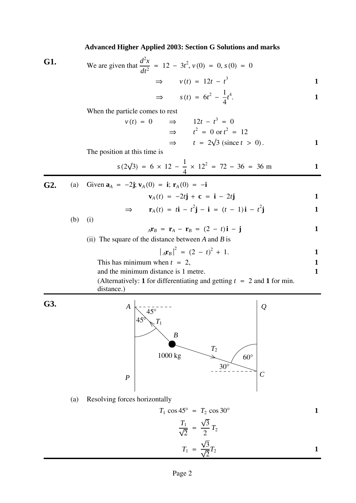## **Advanced Higher Applied 2003: Section G Solutions and marks**

**G1.** We are given that 
$$
\frac{d^2x}{dt^2} = 12 - 3t^2
$$
,  $v(0) = 0$ ,  $s(0) = 0$   
 $\implies v(t) = 12t - t^3$ 

$$
\Rightarrow \qquad s(t) = 6t^2 - \frac{1}{4}t^4. \qquad \qquad 1
$$

When the particle comes to rest

$$
v(t) = 0 \qquad \Rightarrow \qquad 12t - t^3 = 0
$$
  

$$
\Rightarrow \qquad t^2 = 0 \text{ or } t^2 = 12
$$
  

$$
\Rightarrow \qquad t = 2\sqrt{3} \text{ (since } t > 0).
$$

The position at this time is

$$
s(2\sqrt{3}) = 6 \times 12 - \frac{1}{4} \times 12^2 = 72 - 36 = 36
$$
 m

**G2.** (a) Given  $\mathbf{a}_A = -2\mathbf{j}$ ;  $\mathbf{v}_A(0) = \mathbf{i}$ ;  $\mathbf{r}_A(0) = -\mathbf{i}$  **1** ⇒ **r**<sub>*A*</sub>(*t*) = *t***i** − *t*<sup>2</sup>**j** − **i** = (*t* − 1)**i** − *t*<sup>2</sup> **j 1**

(b) (i)

$$
{}_{A}\mathbf{r}_{B} = \mathbf{r}_{A} - \mathbf{r}_{B} = (2 - t)\mathbf{i} - \mathbf{j}
$$

(ii) The square of the distance between  $A$  and  $B$  is

$$
\left| \,_{A} \mathbf{r}_{B} \, \right|^{2} = \left( 2 - t \right)^{2} + 1. \tag{1}
$$

This has minimum when 
$$
t = 2
$$
, 1

and the minimum distance is 1 metre. **1** 

(Alternatively: **1** for differentiating and getting  $t = 2$  and **1** for min. distance.)

**G3.**



(a) Resolving forces horizontally

$$
T_1 \cos 45^\circ = T_2 \cos 30^\circ
$$
\n
$$
\frac{T_1}{\sqrt{2}} = \frac{\sqrt{3}}{2} T_2
$$
\n
$$
T_1 = \frac{\sqrt{3}}{\sqrt{2}} T_2
$$
\n1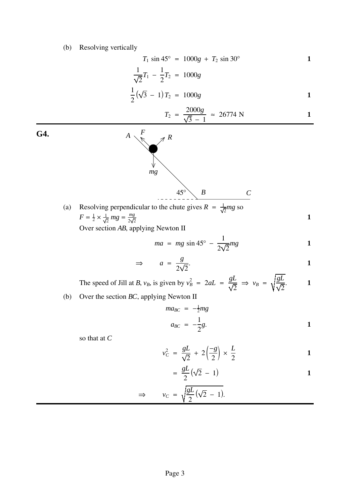## (b) Resolving vertically

$$
T_1 \sin 45^\circ = 1000g + T_2 \sin 30^\circ
$$
 1

$$
\frac{1}{\sqrt{2}}T_1 - \frac{1}{2}T_2 = 1000g
$$

$$
\frac{1}{2}(\sqrt{3}-1)T_2 = 1000g
$$

$$
T_2 = \frac{2000g}{\sqrt{3} - 1} \approx 26774 \text{ N}
$$

**G4.** *A*

(a) Resolving perpendicular to the chute gives  $R = \frac{1}{\sqrt{2}}mg$  so  $F = \frac{1}{2} \times \frac{1}{\sqrt{2}} mg = \frac{mg}{2\sqrt{2}}$ 

*mg*

*F*

*R*

Over section AB, applying Newton II

$$
ma = mg \sin 45^\circ - \frac{1}{2\sqrt{2}}mg \qquad \qquad 1
$$

**1**

$$
\Rightarrow \qquad a = \frac{g}{2\sqrt{2}}.
$$

 $45^\circ \left( \begin{array}{ccc} B & & C \end{array} \right)$ 

The speed of Jill at *B*, 
$$
v_B
$$
, is given by  $v_B^2 = 2aL = \frac{gL}{\sqrt{2}} \implies v_B = \sqrt{\frac{gL}{\sqrt{2}}}$ .

(b) Over the section *BC*, applying Newton II

$$
ma_{BC} = -\frac{1}{2}mg
$$
  
\n
$$
a_{BC} = -\frac{1}{2}g.
$$

so that at *C*

$$
v_C^2 = \frac{gL}{\sqrt{2}} + 2\left(\frac{-g}{2}\right) \times \frac{L}{2}
$$

$$
= \frac{gL}{2}(\sqrt{2} - 1)
$$

$$
\Rightarrow \qquad v_C = \sqrt{\frac{gL}{2}(\sqrt{2} - 1)}.
$$